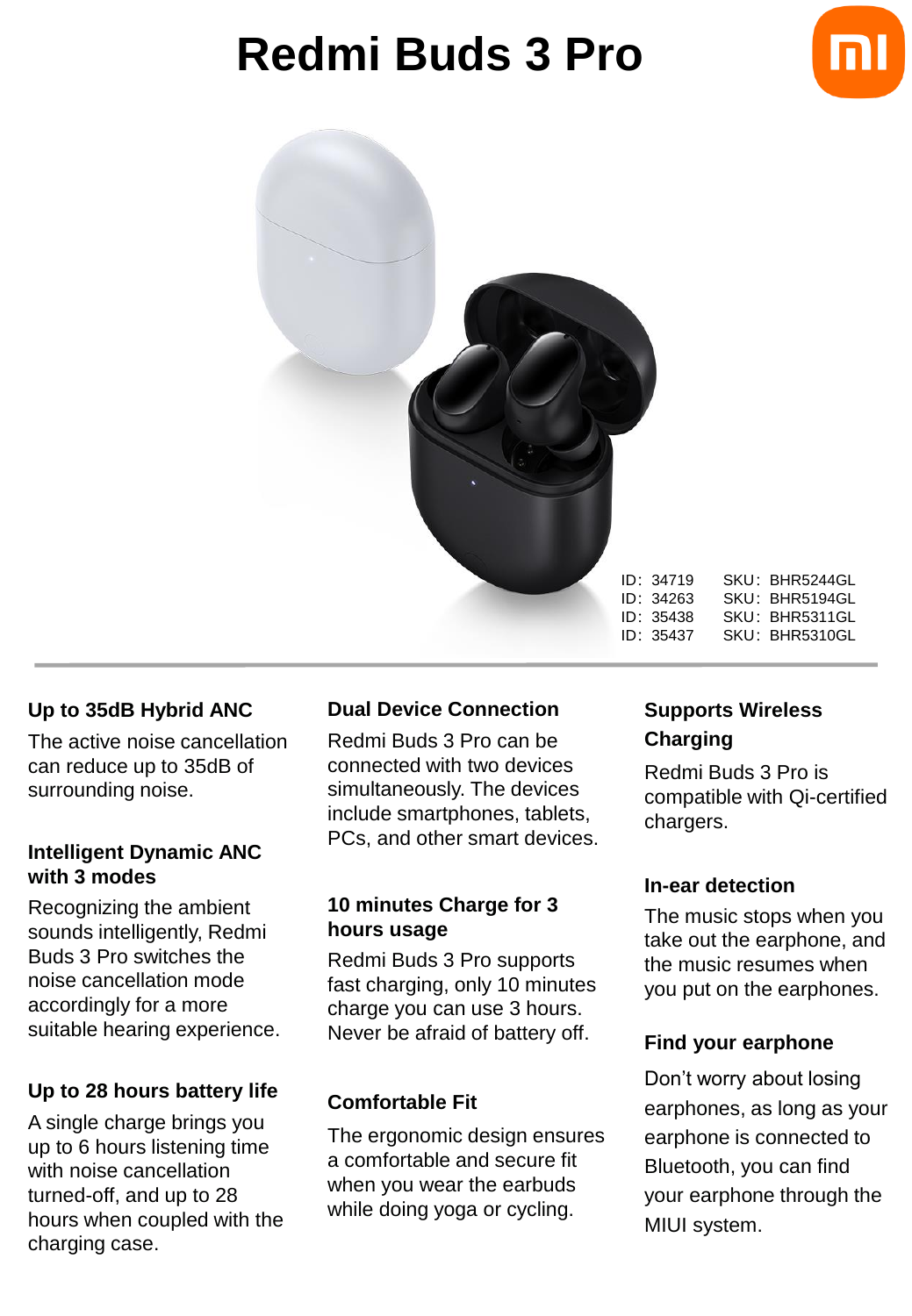# **Redmi Buds 3 Pro**





ID:34719 SKU:BHR5244GL ID:34263 SKU:BHR5194GL ID:35438 SKU:BHR5311GL ID:35437 SKU:BHR5310GL

#### **Up to 35dB Hybrid ANC**

The active noise cancellation can reduce up to 35dB of surrounding noise.

#### **Intelligent Dynamic ANC with 3 modes**

Recognizing the ambient sounds intelligently, Redmi Buds 3 Pro switches the noise cancellation mode accordingly for a more suitable hearing experience.

## **Up to 28 hours battery life**

A single charge brings you up to 6 hours listening time with noise cancellation turned-off, and up to 28 hours when coupled with the charging case.

## **Dual Device Connection**

Redmi Buds 3 Pro can be connected with two devices simultaneously. The devices include smartphones, tablets, PCs, and other smart devices.

#### **10 minutes Charge for 3 hours usage**

Redmi Buds 3 Pro supports fast charging, only 10 minutes charge you can use 3 hours. Never be afraid of battery off.

## **Comfortable Fit**

The ergonomic design ensures a comfortable and secure fit when you wear the earbuds while doing yoga or cycling.

# **Supports Wireless Charging**

Redmi Buds 3 Pro is compatible with Qi-certified chargers.

#### **In-ear detection**

The music stops when you take out the earphone, and the music resumes when you put on the earphones.

## **Find your earphone**

Don't worry about losing earphones, as long as your earphone is connected to Bluetooth, you can find your earphone through the MIUI system.